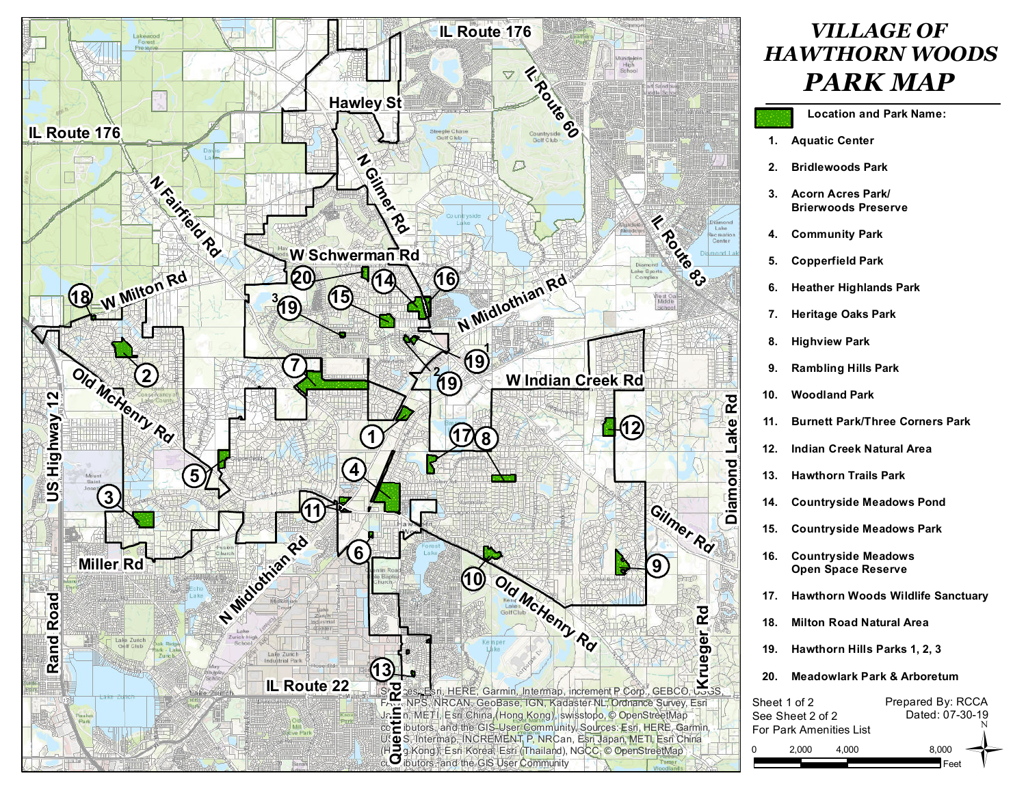

## *VILLAGE OF HAWTHORN WOODS PARK MAP*

- **Location and Park Name:**
- **Aquatic Center 1.**
- **Bridlewoods Park 2.**
- **Acorn Acres Park/ 3. Brierwoods Preserve**
- **Community Park 4.**
- **Copperfield Park 5.**
- **Heather Highlands Park 6.**
- **Heritage Oaks Park 7.**
- **Highview Park 8.**
- **Rambling Hills Park 9.**
- **Woodland Park 10.**
- **Burnett Park/Three Corners Park 11.**
- **Indian Creek Natural Area 12.**
- **Hawthorn Trails Park 13.**
- **Countryside Meadows Pond 14.**
- **Countryside Meadows Park 15.**
- **Countryside Meadows Open Space Reserve 16.**
- **Hawthorn Woods Wildlife Sanctuary 17.**
- **Milton Road Natural Area 18.**
- **Hawthorn Hills Parks 1, 2, 3 19.**
- **Meadowlark Park & Arboretum 20.**

| Sheet 1 of 2     |                         | Prepared By: RCCA |  |  |  |  |  |  |  |  |
|------------------|-------------------------|-------------------|--|--|--|--|--|--|--|--|
| See Sheet 2 of 2 |                         | Dated: 07-30-19   |  |  |  |  |  |  |  |  |
|                  | For Park Amenities List |                   |  |  |  |  |  |  |  |  |
| 2.000            | 4.000                   | 8.000             |  |  |  |  |  |  |  |  |
|                  |                         | Feet              |  |  |  |  |  |  |  |  |